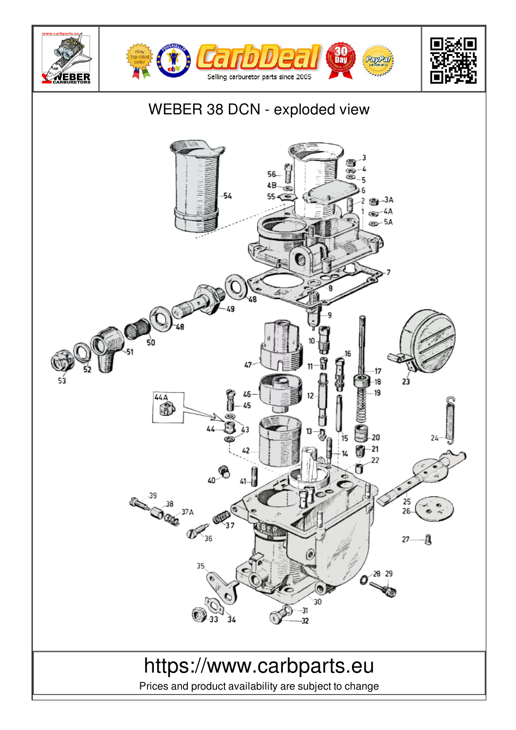